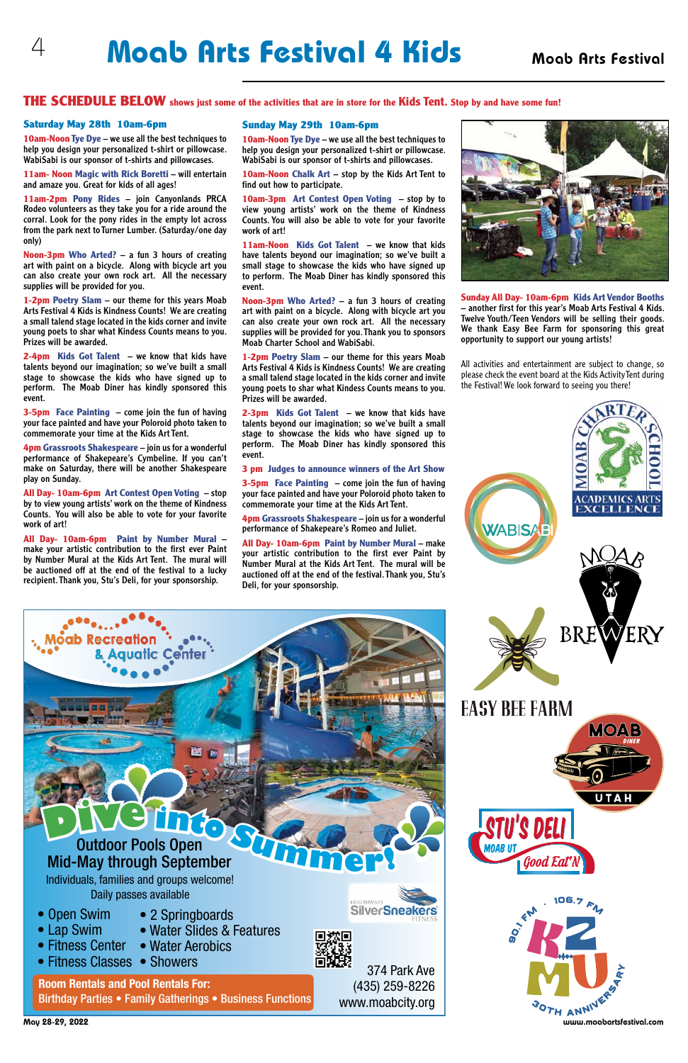## 4 **Moab Arts Festival 4 Kids** Moab Arts Festival

#### Saturday May 28th 10am-6pm

**10am-Noon Tye Dye** – we use all the best techniques to help you design your personalized t-shirt or pillowcase. WabiSabi is our sponsor of t-shirts and pillowcases.

**11am- Noon Magic with Rick Boretti** – will entertain and amaze you. Great for kids of all ages!

**11am-2pm Pony Rides** – join Canyonlands PRCA Rodeo volunteers as they take you for a ride around the corral. Look for the pony rides in the empty lot across from the park next to Turner Lumber. (Saturday/one day only)

**Noon-3pm Who Arted?** – a fun 3 hours of creating art with paint on a bicycle. Along with bicycle art you can also create your own rock art. All the necessary supplies will be provided for you.

**1-2pm Poetry Slam** – our theme for this years Moab Arts Festival 4 Kids is Kindness Counts! We are creating a small talend stage located in the kids corner and invite young poets to shar what Kindess Counts means to you. Prizes will be awarded.

**2-4pm Kids Got Talent** – we know that kids have talents beyond our imagination; so we've built a small stage to showcase the kids who have signed up to perform. The Moab Diner has kindly sponsored this event.

**3-5pm Face Painting** – come join the fun of having your face painted and have your Poloroid photo taken to commemorate your time at the Kids Art Tent.

**4pm Grassroots Shakespeare** – join us for a wonderful performance of Shakepeare's Cymbeline. If you can't make on Saturday, there will be another Shakespeare play on Sunday.

**All Day- 10am-6pm Art Contest Open Voting** – stop by to view young artists' work on the theme of Kindness Counts. You will also be able to vote for your favorite work of art!

**All Day- 10am-6pm Paint by Number Mural** – make your artistic contribution to the first ever Paint by Number Mural at the Kids Art Tent. The mural will be auctioned off at the end of the festival to a lucky recipient. Thank you, Stu's Deli, for your sponsorship.

**All Day- 10am-6pm Paint by Number Mural - make** your artistic contribution to the first ever Paint by Number Mural at the Kids Art Tent. The mural will be auctioned off at the end of the festival. Thank you, Stu's Deli, for your sponsorship.





#### THE SCHEDULE BELOW **shows just some of the activities that are in store for the Kids Tent. Stop by and have some fun!**

#### Sunday May 29th 10am-6pm

- Open Swim • Lap Swim
- 2 Springboards
- Water Slides & Features
- Water Aerobics • Fitness Center
- Fitness Classes Showers

**10am-Noon Tye Dye** – we use all the best techniques to help you design your personalized t-shirt or pillowcase. WabiSabi is our sponsor of t-shirts and pillowcases.

MAGNET ANNIVERT COMPOSITE WWW.MOADCITY.Org<br>May 28-29, 2022 www.moabartsfestival.com **Room Rentals and Pool Rentals For:**  Birthday Parties • Family Gatherings • Business Functions



**10am-Noon Chalk Art** – stop by the Kids Art Tent to find out how to participate.

**10am-3pm Art Contest Open Voting** – stop by to view young artists' work on the theme of Kindness Counts. You will also be able to vote for your favorite work of art!

**11am-Noon Kids Got Talent** – we know that kids have talents beyond our imagination; so we've built a small stage to showcase the kids who have signed up to perform. The Moab Diner has kindly sponsored this event.

**Noon-3pm Who Arted?** – a fun 3 hours of creating art with paint on a bicycle. Along with bicycle art you can also create your own rock art. All the necessary supplies will be provided for you. Thank you to sponsors Moab Charter School and WabiSabi.

**1-2pm Poetry Slam** – our theme for this years Moab Arts Festival 4 Kids is Kindness Counts! We are creating a small talend stage located in the kids corner and invite young poets to shar what Kindess Counts means to you. Prizes will be awarded.

**2-3pm Kids Got Talent** – we know that kids have talents beyond our imagination; so we've built a small stage to showcase the kids who have signed up to perform. The Moab Diner has kindly sponsored this event.

**3 pm Judges to announce winners of the Art Show**

**3-5pm Face Painting** – come join the fun of having your face painted and have your Poloroid photo taken to commemorate your time at the Kids Art Tent.

**4pm Grassroots Shakespeare** – join us for a wonderful performance of Shakepeare's Romeo and Juliet.

All activities and entertainment are subject to change, so please check the event board at the Kids Activity Tent during the Festival! We look forward to seeing you there!



# **DE LATE OF POSTAGE SERVICE SCRIPTION**

Individuals, families and groups welcome! Daily passes available

374 Park Ave

(435) 259-8226 www.moabcity.org



'S DELI Good Eal



UTAH

# Outdoor Pools Open

**Sunday All Day- 10am-6pm Kids Art Vendor Booths**  – another first for this year's Moab Arts Festival 4 Kids. Twelve Youth/Teen Vendors will be selling their goods. We thank Easy Bee Farm for sponsoring this great opportunity to support our young artists!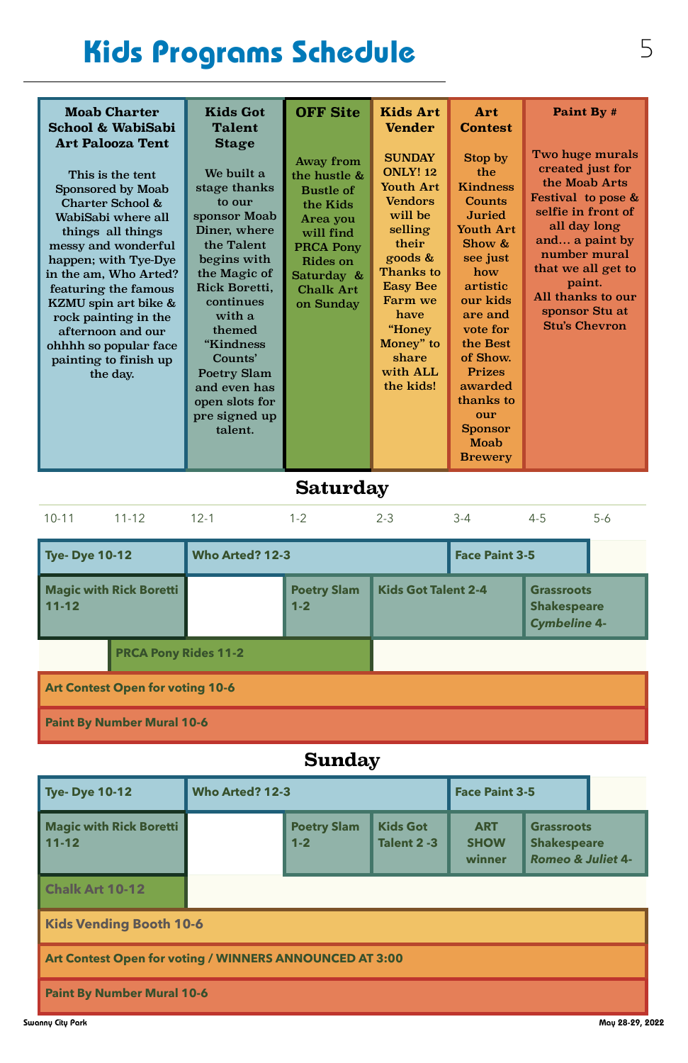# Kids Programs Schedule 5

| <b>Moab Charter</b><br><b>School &amp; WabiSabi</b><br><b>Art Palooza Tent</b><br>This is the tent<br><b>Sponsored by Moab</b><br>Charter School &<br>WabiSabi where all<br>things all things<br>messy and wonderful<br>happen; with Tye-Dye<br>in the am, Who Arted?<br>featuring the famous<br>KZMU spin art bike &<br>rock painting in the<br>afternoon and our<br>ohhhh so popular face<br>painting to finish up<br>the day. | <b>Kids Got</b><br><b>Talent</b><br><b>Stage</b><br>We built a<br>stage thanks<br>to our<br>sponsor Moab<br>Diner, where<br>the Talent<br>begins with<br>the Magic of<br>Rick Boretti,<br>continues<br>with a<br>themed<br>"Kindness<br>Counts'<br><b>Poetry Slam</b><br>and even has<br>open slots for<br>pre signed up<br>talent. | <b>OFF Site</b><br><b>Away from</b><br>the hustle &<br><b>Bustle of</b><br>the Kids<br>Area you<br>will find<br><b>PRCA Pony</b><br>Rides on<br>Saturday &<br><b>Chalk Art</b><br>on Sunday | <b>Kids Art</b><br><b>Vender</b><br><b>SUNDAY</b><br><b>ONLY! 12</b><br><b>Youth Art</b><br><b>Vendors</b><br>will be<br>selling<br>their<br>$\boldsymbol{\mathsf{goods}}$ &<br><b>Thanks to</b><br><b>Easy Bee</b><br><b>Farm</b> we<br>have<br>"Honey<br>Money" to<br>share<br>with ALL<br>the kids! | Art<br><b>Contest</b><br>Stop by<br>the<br><b>Kindness</b><br>Counts<br><b>Juried</b><br><b>Youth Art</b><br>Show &<br>see just<br>how<br>artistic<br>our kids<br>are and<br>vote for<br>the Best<br>of Show.<br><b>Prizes</b><br>awarded<br>thanks to<br>our<br><b>Sponsor</b> | Paint By #<br>Two huge murals<br>created just for<br>the Moab Arts<br>Festival to pose $\&$<br>selfie in front of<br>all day long<br>and a paint by<br>number mural<br>that we all get to<br>paint.<br>All thanks to our<br>sponsor Stu at<br><b>Stu's Chevron</b> |
|----------------------------------------------------------------------------------------------------------------------------------------------------------------------------------------------------------------------------------------------------------------------------------------------------------------------------------------------------------------------------------------------------------------------------------|-------------------------------------------------------------------------------------------------------------------------------------------------------------------------------------------------------------------------------------------------------------------------------------------------------------------------------------|---------------------------------------------------------------------------------------------------------------------------------------------------------------------------------------------|--------------------------------------------------------------------------------------------------------------------------------------------------------------------------------------------------------------------------------------------------------------------------------------------------------|---------------------------------------------------------------------------------------------------------------------------------------------------------------------------------------------------------------------------------------------------------------------------------|--------------------------------------------------------------------------------------------------------------------------------------------------------------------------------------------------------------------------------------------------------------------|
|                                                                                                                                                                                                                                                                                                                                                                                                                                  |                                                                                                                                                                                                                                                                                                                                     |                                                                                                                                                                                             |                                                                                                                                                                                                                                                                                                        | Moab<br><b>Brewery</b>                                                                                                                                                                                                                                                          |                                                                                                                                                                                                                                                                    |

| <b>Tye-Dye 10-12</b>                                    | <b>Who Arted? 12-3</b> |                               |                                       | <b>Face Paint 3-5</b>               |                                                                         |                 |
|---------------------------------------------------------|------------------------|-------------------------------|---------------------------------------|-------------------------------------|-------------------------------------------------------------------------|-----------------|
| <b>Magic with Rick Boretti</b><br>$11 - 12$             |                        | <b>Poetry Slam</b><br>$1 - 2$ | <b>Kids Got</b><br><b>Talent 2 -3</b> | <b>ART</b><br><b>SHOW</b><br>winner | <b>Grassroots</b><br><b>Shakespeare</b><br><b>Romeo &amp; Juliet 4-</b> |                 |
| <b>Chalk Art 10-12</b>                                  |                        |                               |                                       |                                     |                                                                         |                 |
| <b>Kids Vending Booth 10-6</b>                          |                        |                               |                                       |                                     |                                                                         |                 |
| Art Contest Open for voting / WINNERS ANNOUNCED AT 3:00 |                        |                               |                                       |                                     |                                                                         |                 |
| <b>Paint By Number Mural 10-6</b>                       |                        |                               |                                       |                                     |                                                                         |                 |
| Swanny City Park                                        |                        |                               |                                       |                                     |                                                                         | May 28-29, 2022 |

## **Saturday**

| $10 - 11$                               | $11 - 12$                      | $12 - 1$                                        | $1 - 2$                       | $2 - 3$                    | $3-4$ | $4 - 5$                                                        | $5-6$ |  |
|-----------------------------------------|--------------------------------|-------------------------------------------------|-------------------------------|----------------------------|-------|----------------------------------------------------------------|-------|--|
| <b>Tye- Dye 10-12</b>                   |                                | <b>Who Arted? 12-3</b><br><b>Face Paint 3-5</b> |                               |                            |       |                                                                |       |  |
| $11 - 12$                               | <b>Magic with Rick Boretti</b> |                                                 | <b>Poetry Slam</b><br>$1 - 2$ | <b>Kids Got Talent 2-4</b> |       | <b>Grassroots</b><br><b>Shakespeare</b><br><b>Cymbeline 4-</b> |       |  |
| <b>PRCA Pony Rides 11-2</b>             |                                |                                                 |                               |                            |       |                                                                |       |  |
| <b>Art Contest Open for voting 10-6</b> |                                |                                                 |                               |                            |       |                                                                |       |  |
| <b>Paint By Number Mural 10-6</b>       |                                |                                                 |                               |                            |       |                                                                |       |  |
| <b>Sunday</b>                           |                                |                                                 |                               |                            |       |                                                                |       |  |